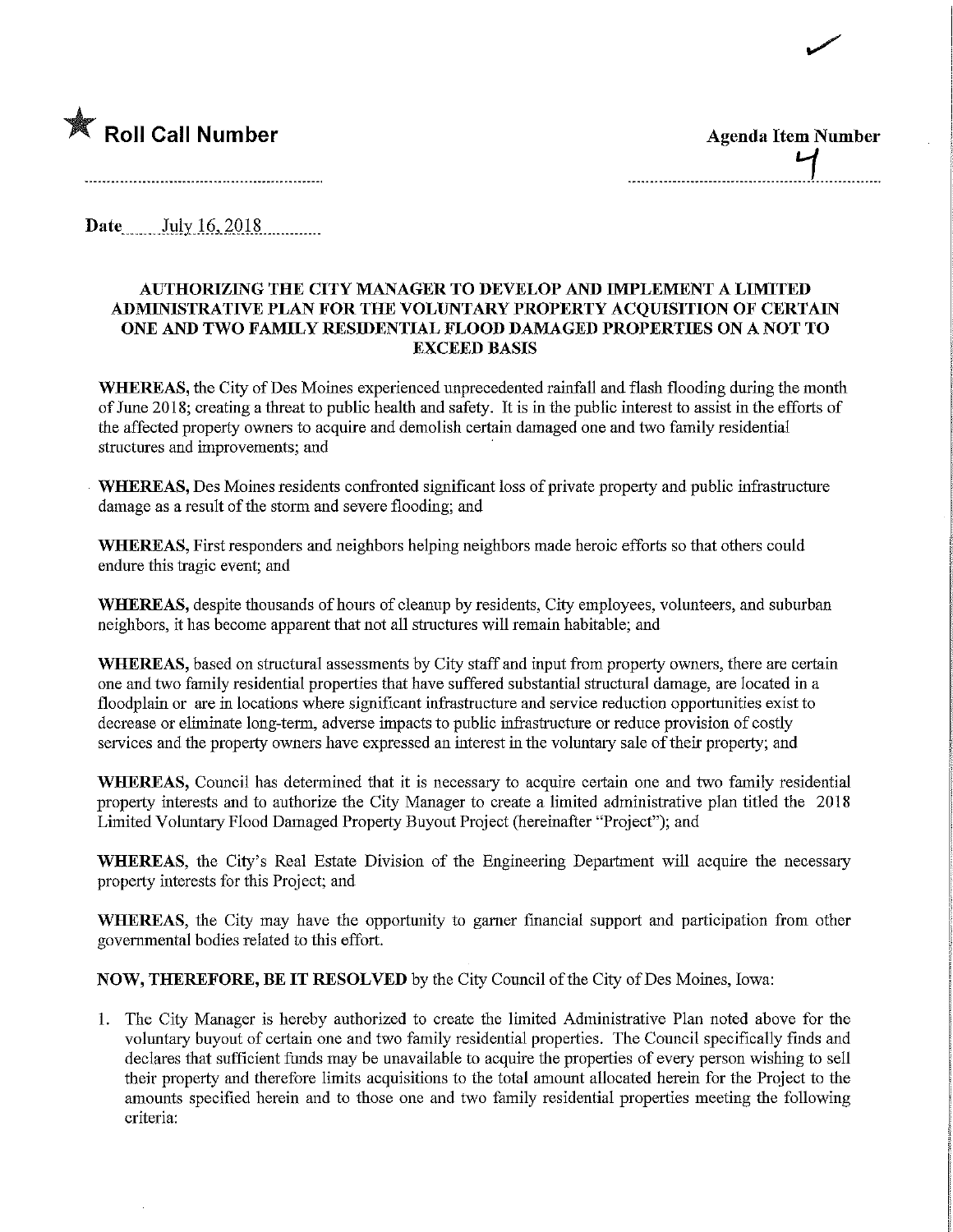

Date July 16, 2018

## AUTHORIZING THE CITY MANAGER TO DEVELOP AND IMPLEMENT A LIMITED ADMINISTRATIVE PLAN FOR THE VOLUNTARY PROPERTY ACQUISITION OF CERTAIN ONE AND TWO FAMILY RESIDENTIAL FLOOD DAMAGED PROPERTIES ON A NOT TO EXCEED BASIS

 $\blacktriangleright$ 

WHEREAS, the City of Des Moines experienced unprecedented rainfall and flash flooding during the month of June 2018; creating a threat to public health and safety. It is in the public interest to assist in the efforts of the affected property owners to acquire and demolish certain damaged one and two family residential structures and improvements; and

WHEREAS, Des Moines residents confronted significant loss of private property and public infrastructure damage as a result of the storm and severe flooding; and

WHEREAS, First responders and neighbors helping neighbors made heroic efforts so that others could endure this tragic event; and

WHEREAS, despite thousands of hours of cleanup by residents, City employees, volunteers, and suburban neighbors, it has become apparent that not all structures will remain habitable; and

WHEREAS, based on structural assessments by City staff and input from property owners, there are certain one and two family residential properties that have suffered substantial structural damage, are located in a floodplain or are in locations where significant infrastructure and service reduction opportunities exist to decrease or elimmate long-term, adverse impacts to public mfrastructure or reduce provision of costly services and the property owners have expressed an interest m the voluntary sale of their property; and

WHEREAS, Council has determined that it is necessary to acquire certain one and two family residential property interests and to authorize the City Manager to create a limited administrative plan titled the 2018 Limited Voluntary Flood Damaged Property Buyout Project (hereinafter "Project"); and

WHEREAS, the City's Real Estate Division of the Engineering Department will acquire the necessary property interests for this Project; and

WHEREAS, the City may have the opportunity to gamer financial support and participation from other governmental bodies related to this effort.

NOW, THEREFORE, BE IT RESOLVED by the City Council of the City of Des Moines, Iowa:

1. The City Manager is hereby authorized to create the limited Administrative Plan noted above for the voluntary buyout of certain one and two family residential properties. The Council specifically finds and declares fhat sufficient funds may be unavailable to acquire the properties of every person wishing to sell their property and therefore limits acquisitions to the total amount allocated herein for the Project to the amounts specified herein and to those one and two family residential properties meeting the following criteria: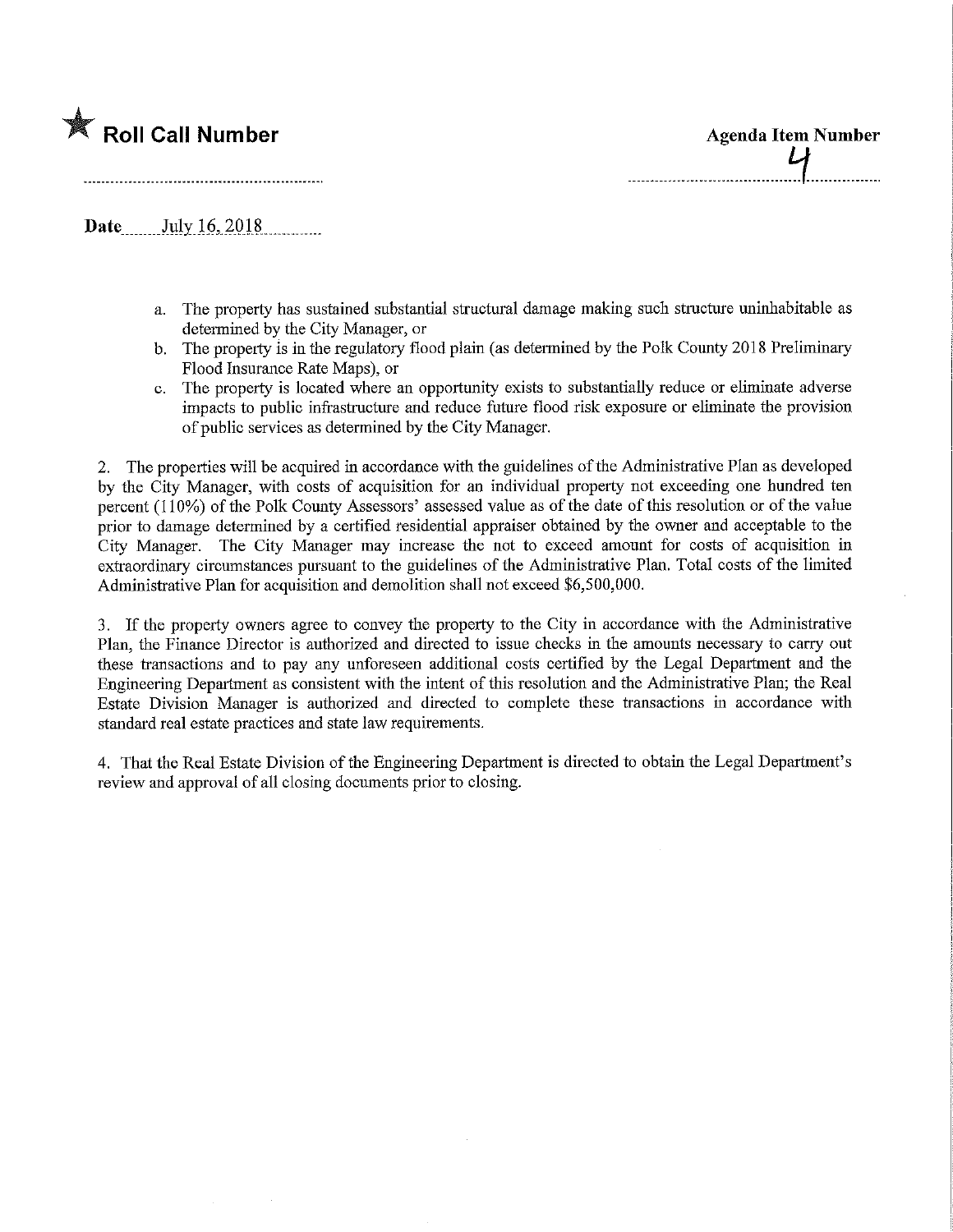

Roll Call Number Agenda Item Number Agenda Item Number

Date....\_.JulyJ.6,,2018,

- a. The property has sustained substantial structural damage making such structure uninhabitable as determined by the City Manager, or
- b. The property is in the regulatory flood plain (as determined by the Polk County 2018 Preliminary Flood Insurance Rate Maps), or
- c. The property is located where an opportunity exists to substantially reduce or eliminate adverse impacts to public infrastructure and reduce future flood risk exposure or eliminate the provision of public services as determined by the City Manager.

2. The properties will be acquired in accordance with the guidelines of the Administrative Plan as developed by the City Manager, with costs of acquisition for an individual property not exceeding one hundred ten percent (110%) of the Polk County Assessors' assessed value as of the date of this resolution or of the value prior to damage determined by a certified residential appraiser obtained by the owner and acceptable to the City Manager. The City Manager may increase the not to exceed amount for costs of acquisition in extraordinary circumstances pursuant to the guidelines of the Administrative Plan. Total costs of the limited Administrative Plan for acquisition and demolition shall not exceed \$6,500,000.

3. If the property owners agree to convey the property to the City in accordance with the Administrative Plan, the Finance Director is authorized and directed to issue checks m the amounts necessary to carry out these transactions and to pay any unforeseen additional costs certified by the Legal Department and the Engineering Department as consistent with the intent of this resolution and the Administrative Plan; the Real Estate Division Manager is authorized and directed to complete these transactions m accordance with standard real estate practices and state law requirements.

4. That the Real Estate Division of the Engineering Department is directed to obtain the Legal Department's review and approval of all closing documents prior to closing.